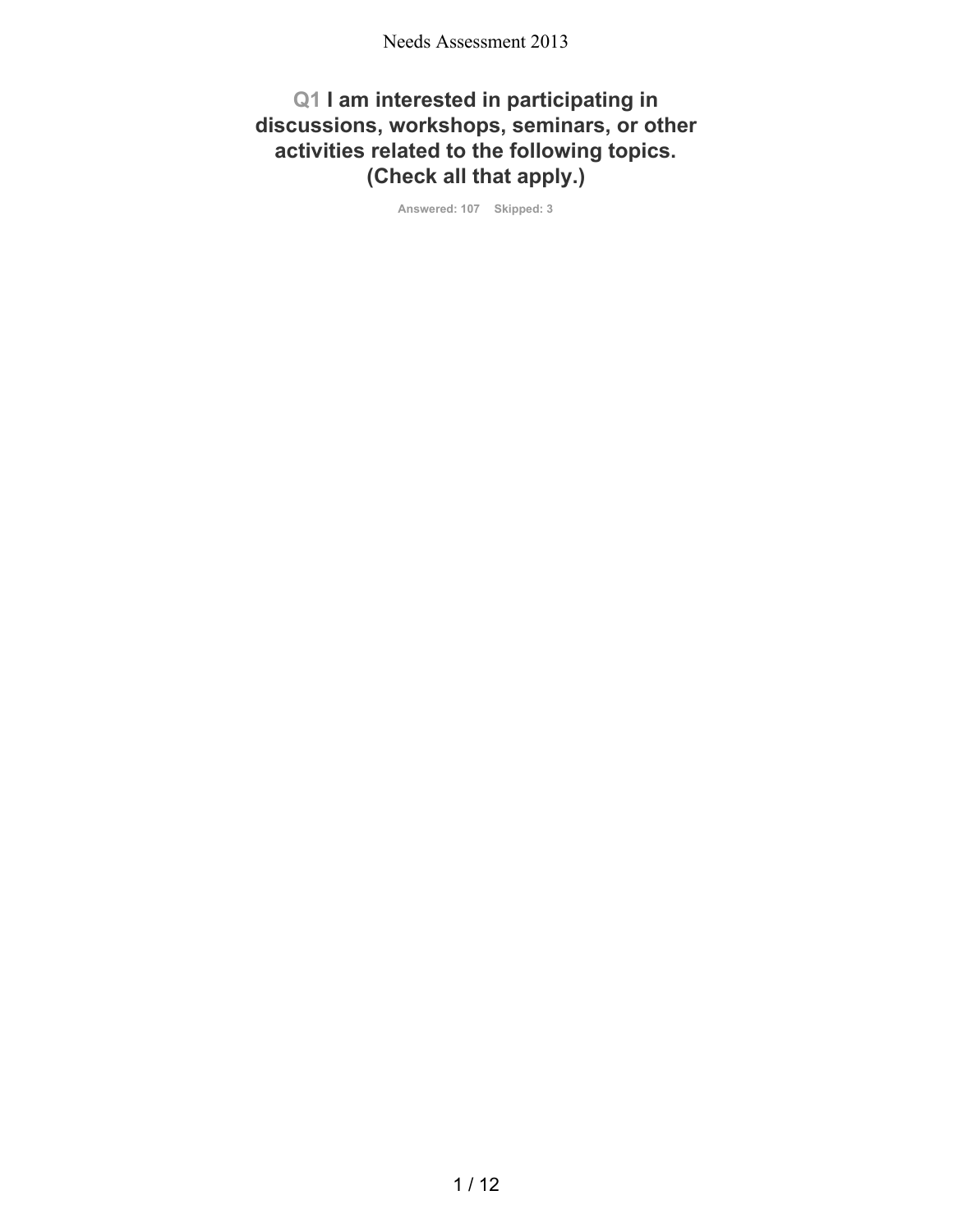## **Q1 I am interested in participating in discussions, workshops, seminars, or other activities related to the following topics. (Check all that apply.)**

**Answered: 107 Skipped: 3**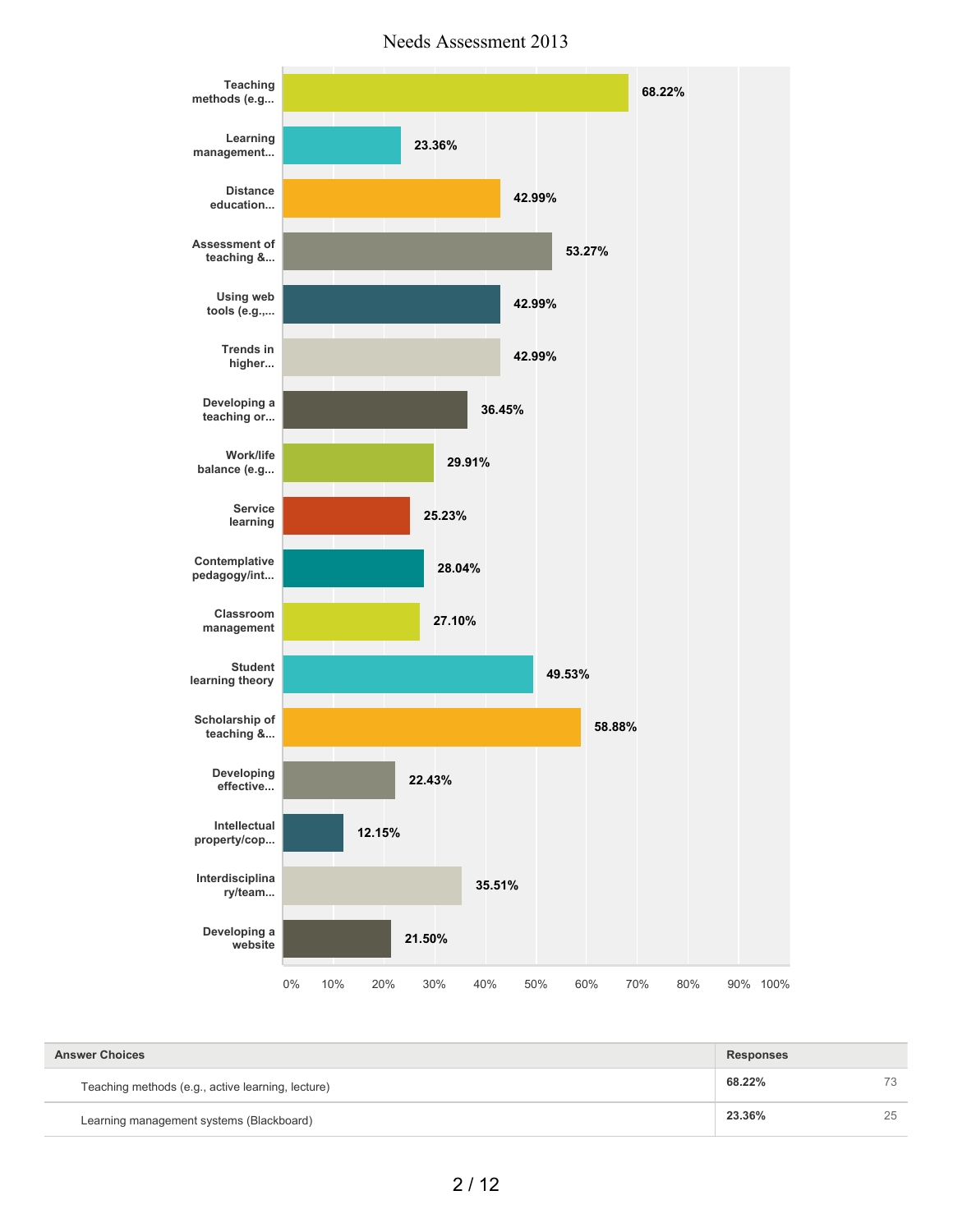Needs Assessment 2013



| <b>Answer Choices</b><br><b>Responses</b>         |        |    |
|---------------------------------------------------|--------|----|
| Teaching methods (e.g., active learning, lecture) | 68.22% | 73 |
| Learning management systems (Blackboard)          | 23.36% | 25 |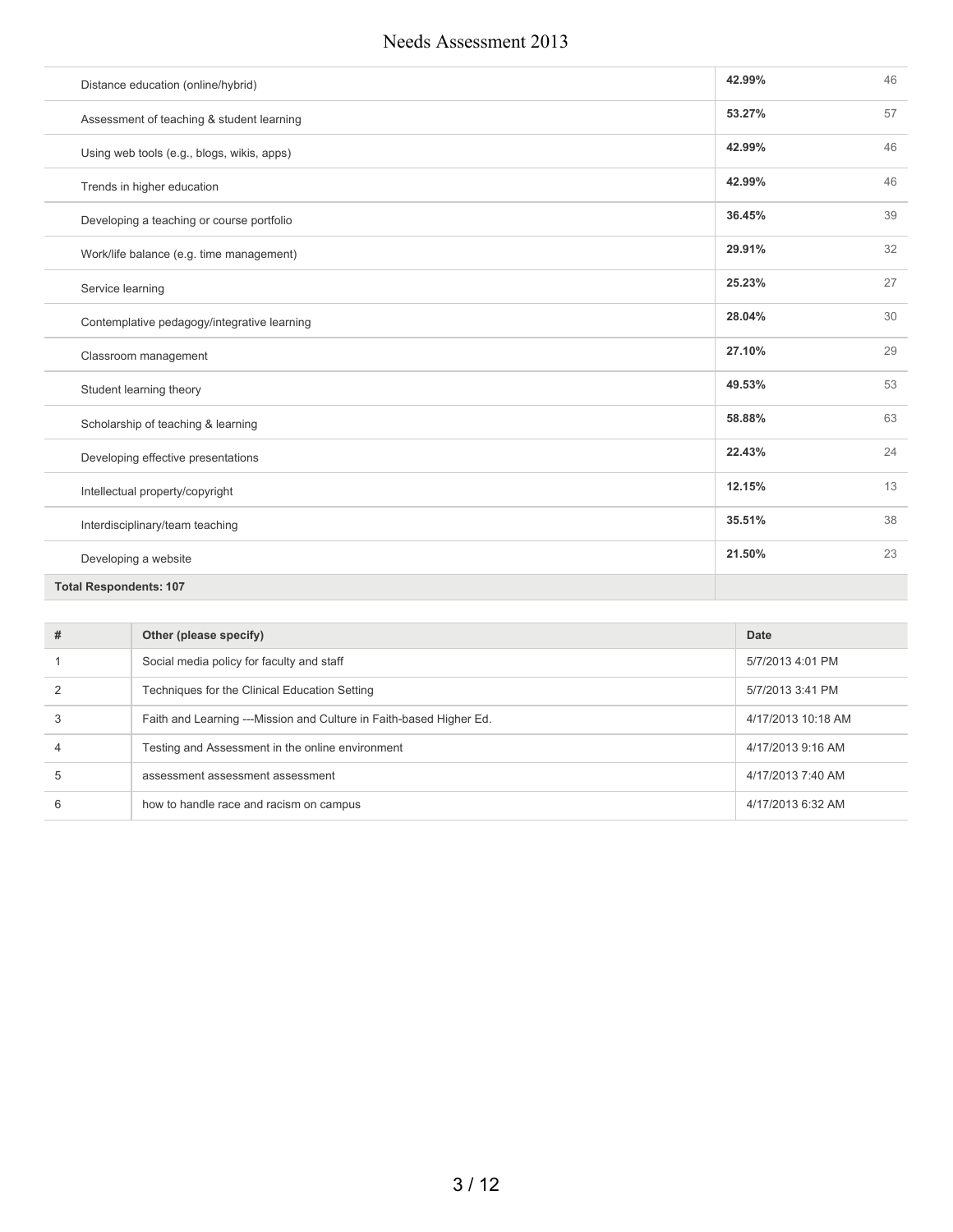| Distance education (online/hybrid)          | 42.99% | 46 |
|---------------------------------------------|--------|----|
| Assessment of teaching & student learning   | 53.27% | 57 |
| Using web tools (e.g., blogs, wikis, apps)  | 42.99% | 46 |
| Trends in higher education                  | 42.99% | 46 |
| Developing a teaching or course portfolio   | 36.45% | 39 |
| Work/life balance (e.g. time management)    | 29.91% | 32 |
| Service learning                            | 25.23% | 27 |
| Contemplative pedagogy/integrative learning | 28.04% | 30 |
| Classroom management                        | 27.10% | 29 |
| Student learning theory                     | 49.53% | 53 |
| Scholarship of teaching & learning          | 58.88% | 63 |
| Developing effective presentations          | 22.43% | 24 |
| Intellectual property/copyright             | 12.15% | 13 |
| Interdisciplinary/team teaching             | 35.51% | 38 |
| Developing a website                        | 21.50% | 23 |
| <b>Total Respondents: 107</b>               |        |    |

| # | Other (please specify)                                              | Date               |
|---|---------------------------------------------------------------------|--------------------|
|   | Social media policy for faculty and staff                           | 5/7/2013 4:01 PM   |
| 2 | Techniques for the Clinical Education Setting                       | 5/7/2013 3:41 PM   |
| 3 | Faith and Learning ---Mission and Culture in Faith-based Higher Ed. | 4/17/2013 10:18 AM |
| 4 | Testing and Assessment in the online environment                    | 4/17/2013 9:16 AM  |
| 5 | assessment assessment assessment                                    | 4/17/2013 7:40 AM  |
| 6 | how to handle race and racism on campus                             | 4/17/2013 6:32 AM  |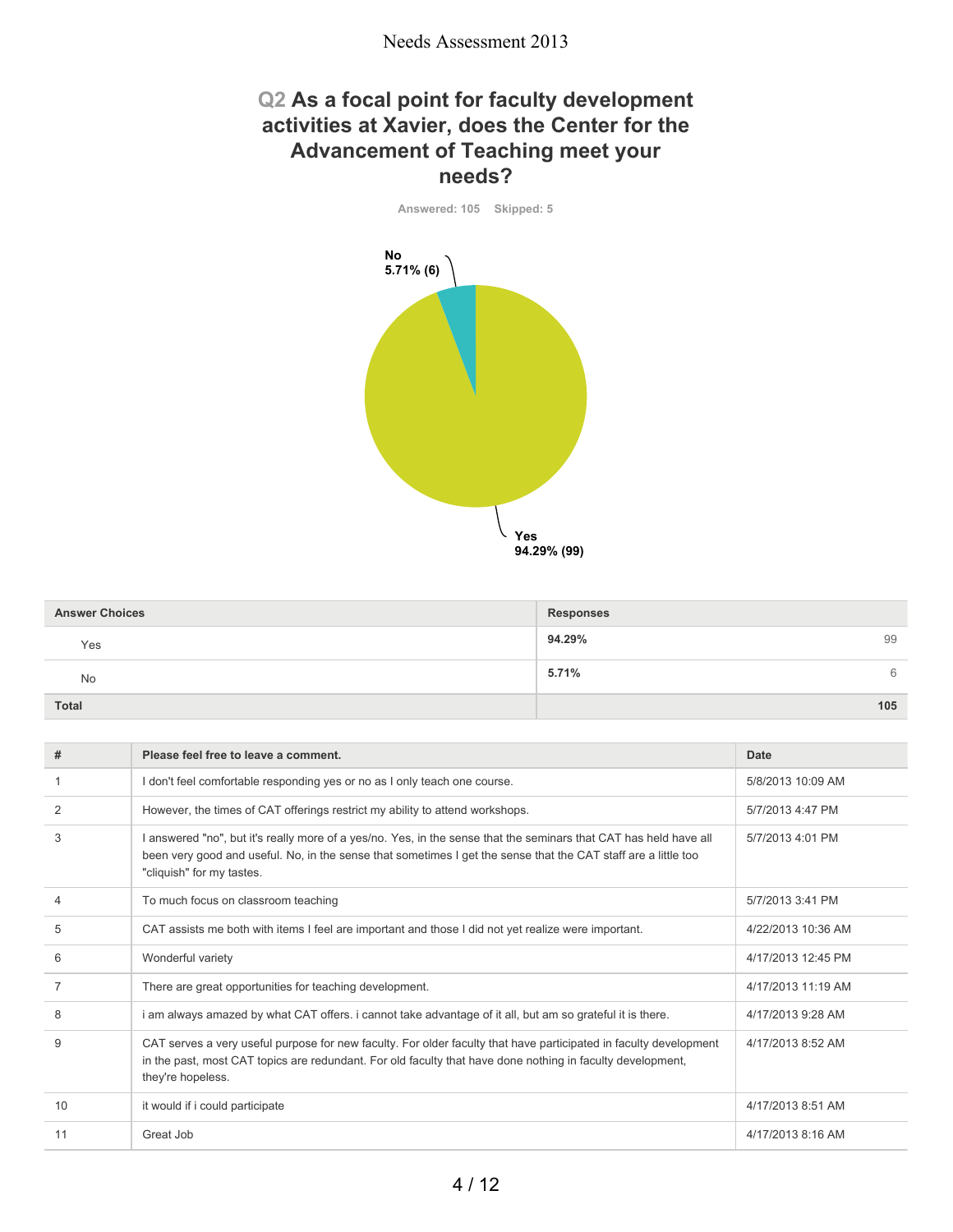### **Q2 As a focal point for faculty development activities at Xavier, does the Center for the Advancement of Teaching meet your needs?**

**Answered: 105 Skipped: 5 Yes 94.29% (99) No 5.71% (6)**

| <b>Answer Choices</b> | <b>Responses</b> |
|-----------------------|------------------|
| Yes                   | 94.29%<br>99     |
| <b>No</b>             | 5.71%<br>6       |
| <b>Total</b>          | 105              |

| #              | Please feel free to leave a comment.                                                                                                                                                                                                                             | Date               |
|----------------|------------------------------------------------------------------------------------------------------------------------------------------------------------------------------------------------------------------------------------------------------------------|--------------------|
|                | I don't feel comfortable responding yes or no as I only teach one course.                                                                                                                                                                                        | 5/8/2013 10:09 AM  |
| $\overline{2}$ | However, the times of CAT offerings restrict my ability to attend workshops.                                                                                                                                                                                     | 5/7/2013 4:47 PM   |
| 3              | I answered "no", but it's really more of a yes/no. Yes, in the sense that the seminars that CAT has held have all<br>been very good and useful. No, in the sense that sometimes I get the sense that the CAT staff are a little too<br>"cliquish" for my tastes. | 5/7/2013 4:01 PM   |
| $\overline{4}$ | To much focus on classroom teaching                                                                                                                                                                                                                              | 5/7/2013 3:41 PM   |
| 5              | CAT assists me both with items I feel are important and those I did not yet realize were important.                                                                                                                                                              | 4/22/2013 10:36 AM |
| 6              | Wonderful variety                                                                                                                                                                                                                                                | 4/17/2013 12:45 PM |
| 7              | There are great opportunities for teaching development.                                                                                                                                                                                                          | 4/17/2013 11:19 AM |
| 8              | i am always amazed by what CAT offers. i cannot take advantage of it all, but am so grateful it is there.                                                                                                                                                        | 4/17/2013 9:28 AM  |
| 9              | CAT serves a very useful purpose for new faculty. For older faculty that have participated in faculty development<br>in the past, most CAT topics are redundant. For old faculty that have done nothing in faculty development,<br>they're hopeless.             | 4/17/2013 8:52 AM  |
| 10             | it would if i could participate                                                                                                                                                                                                                                  | 4/17/2013 8:51 AM  |
| 11             | Great Job                                                                                                                                                                                                                                                        | 4/17/2013 8:16 AM  |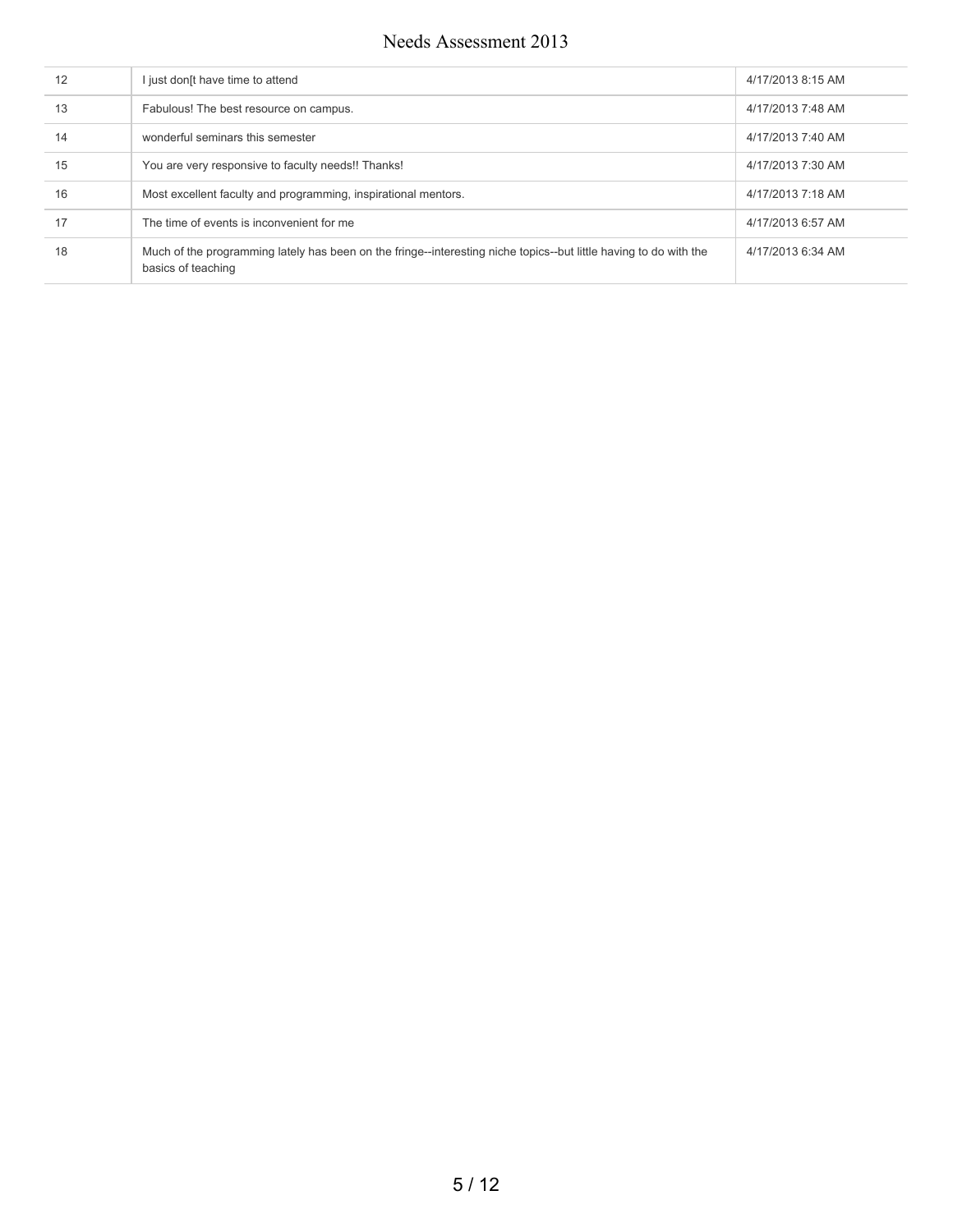| 12 | I just don[t have time to attend                                                                                                        | 4/17/2013 8:15 AM |
|----|-----------------------------------------------------------------------------------------------------------------------------------------|-------------------|
| 13 | Fabulous! The best resource on campus.                                                                                                  | 4/17/2013 7:48 AM |
| 14 | wonderful seminars this semester                                                                                                        | 4/17/2013 7:40 AM |
| 15 | You are very responsive to faculty needs!! Thanks!                                                                                      | 4/17/2013 7:30 AM |
| 16 | Most excellent faculty and programming, inspirational mentors.                                                                          | 4/17/2013 7:18 AM |
| 17 | The time of events is inconvenient for me                                                                                               | 4/17/2013 6:57 AM |
| 18 | Much of the programming lately has been on the fringe--interesting niche topics--but little having to do with the<br>basics of teaching | 4/17/2013 6:34 AM |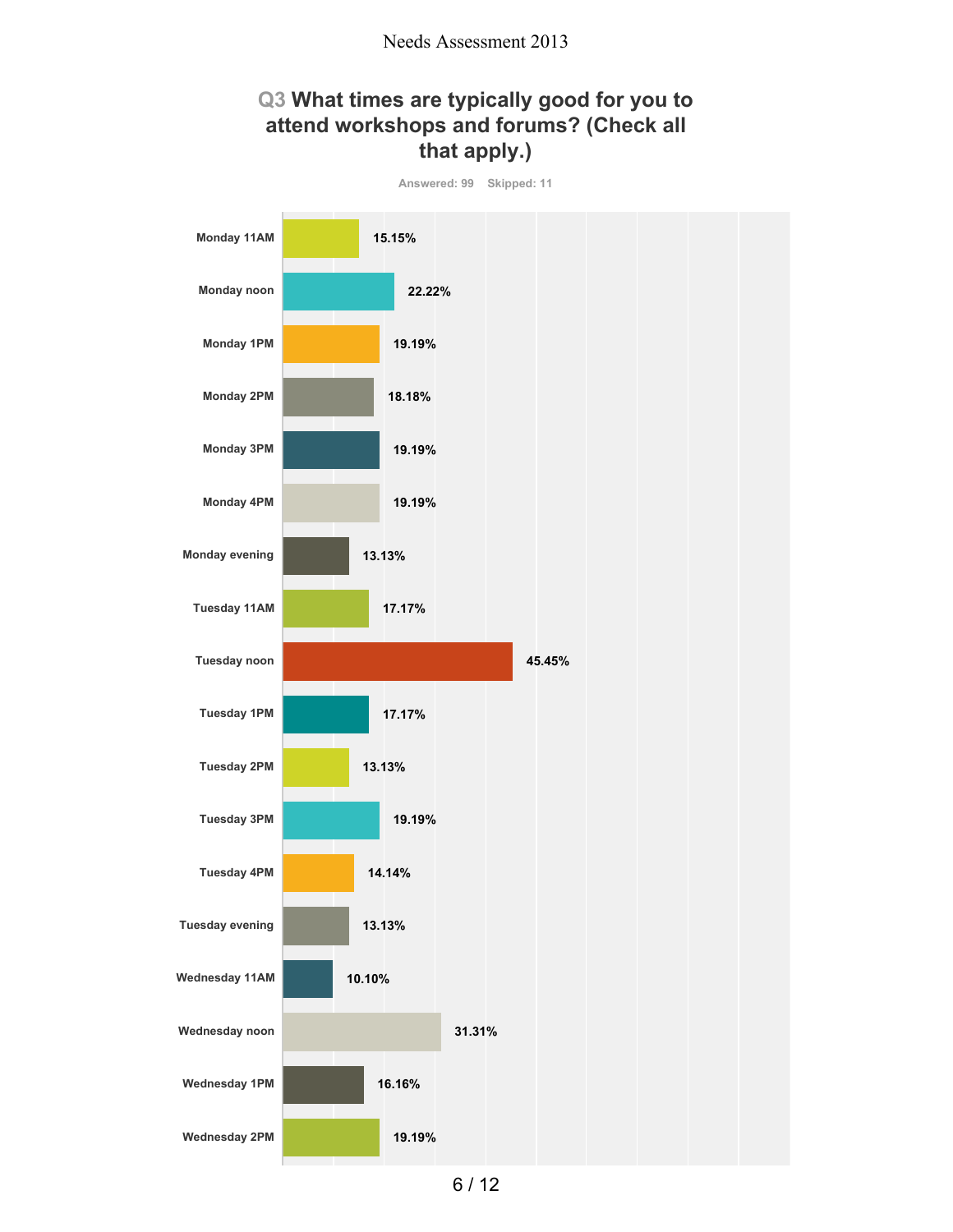## **Q3 What times are typically good for you to attend workshops and forums? (Check all that apply.)**

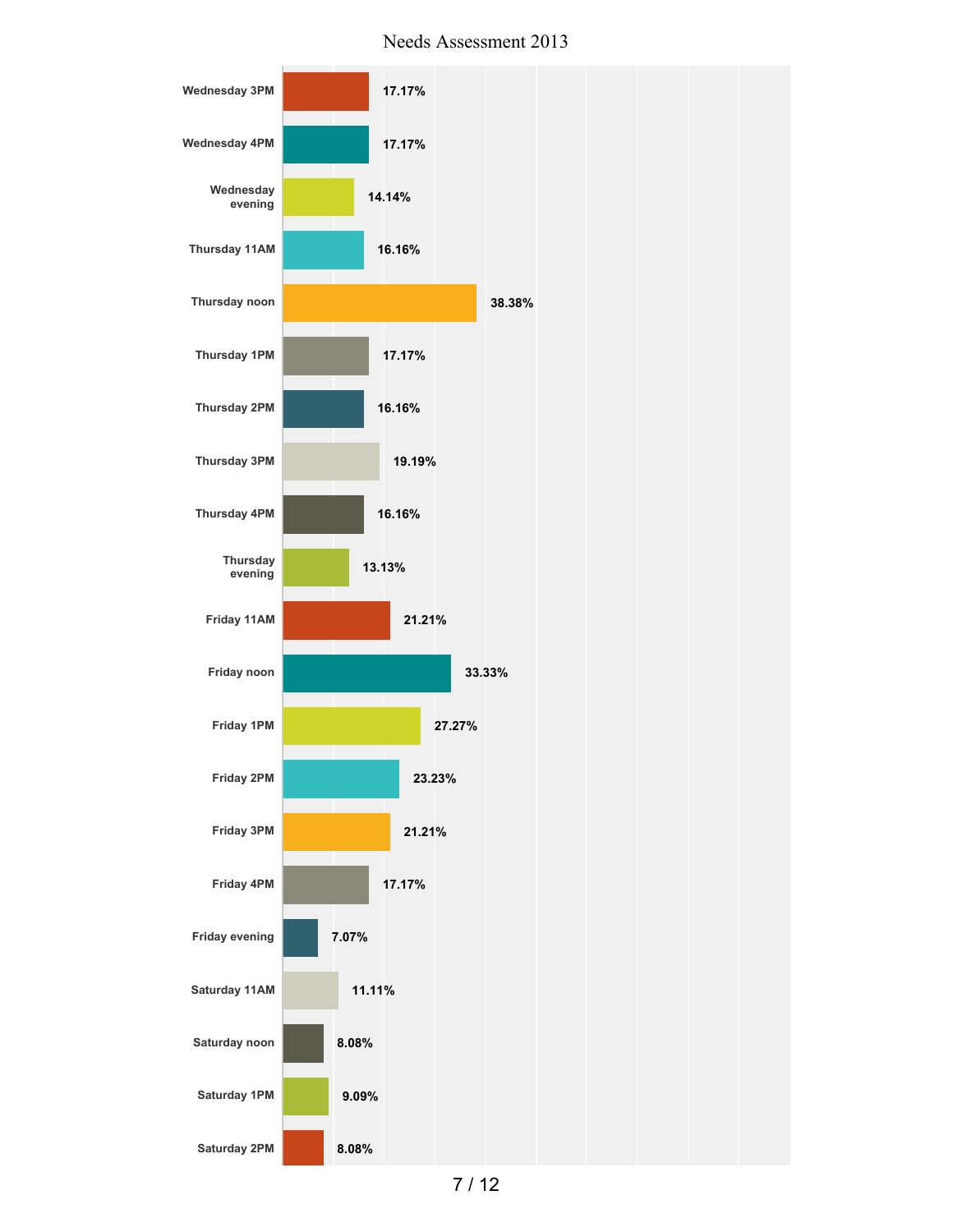

Needs Assessment 2013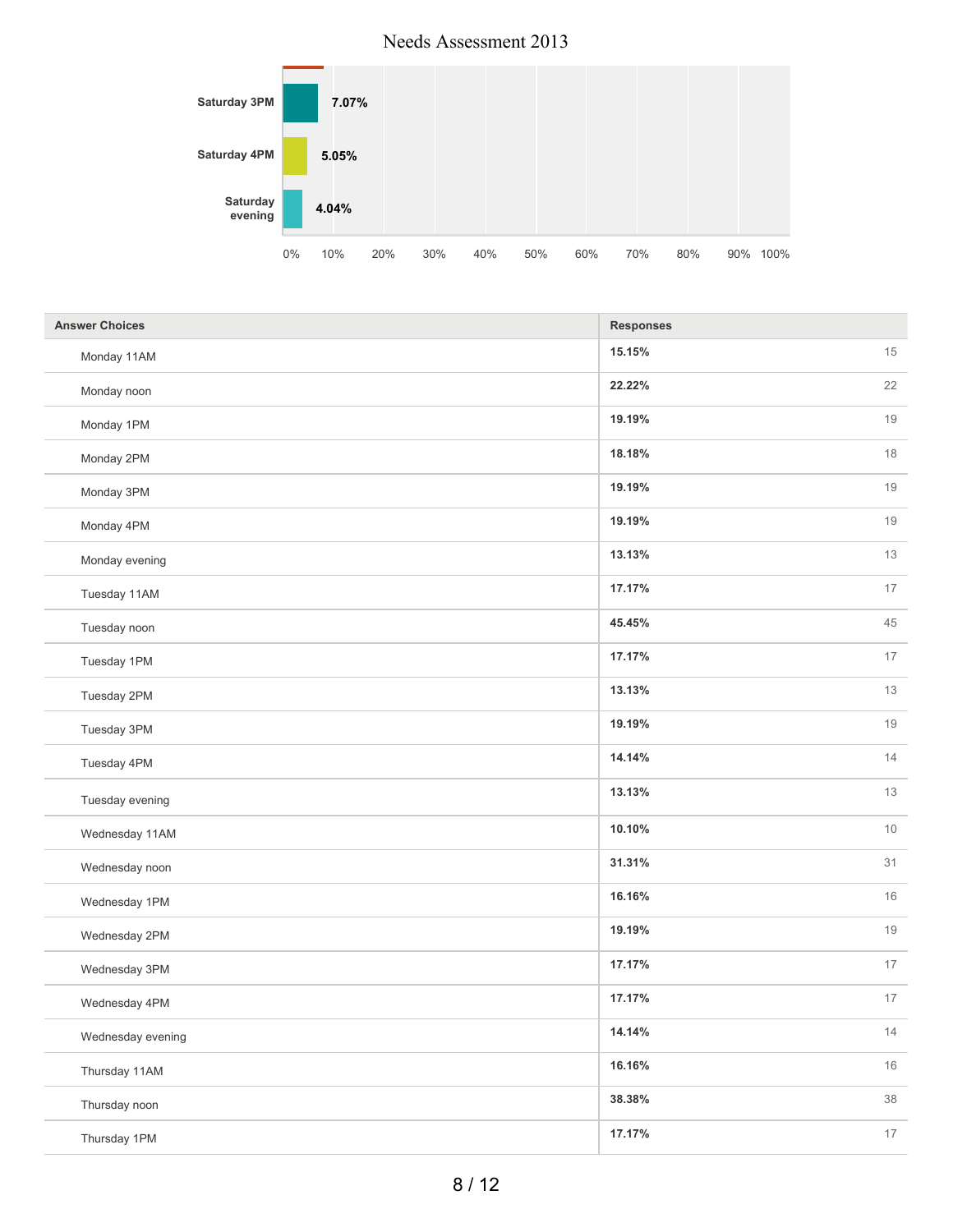

| <b>Answer Choices</b> | <b>Responses</b> |
|-----------------------|------------------|
| Monday 11AM           | 15<br>15.15%     |
| Monday noon           | 22<br>22.22%     |
| Monday 1PM            | 19.19%<br>19     |
| Monday 2PM            | 18.18%<br>18     |
| Monday 3PM            | 19.19%<br>19     |
| Monday 4PM            | $19$<br>19.19%   |
| Monday evening        | 13<br>13.13%     |
| Tuesday 11AM          | 17.17%<br>17     |
| Tuesday noon          | 45.45%<br>45     |
| Tuesday 1PM           | 17<br>17.17%     |
| Tuesday 2PM           | 13.13%<br>13     |
| Tuesday 3PM           | 19<br>19.19%     |
| Tuesday 4PM           | 14<br>14.14%     |
| Tuesday evening       | 13<br>13.13%     |
| Wednesday 11AM        | $10$<br>10.10%   |
| Wednesday noon        | 31<br>31.31%     |
| Wednesday 1PM         | 16.16%<br>16     |
| Wednesday 2PM         | 19.19%<br>19     |
| Wednesday 3PM         | 17.17%<br>17     |
| Wednesday 4PM         | 17.17%<br>17     |
| Wednesday evening     | 14.14%<br>14     |
| Thursday 11AM         | $16\,$<br>16.16% |
| Thursday noon         | $38\,$<br>38.38% |
| Thursday 1PM          | 17.17%<br>17     |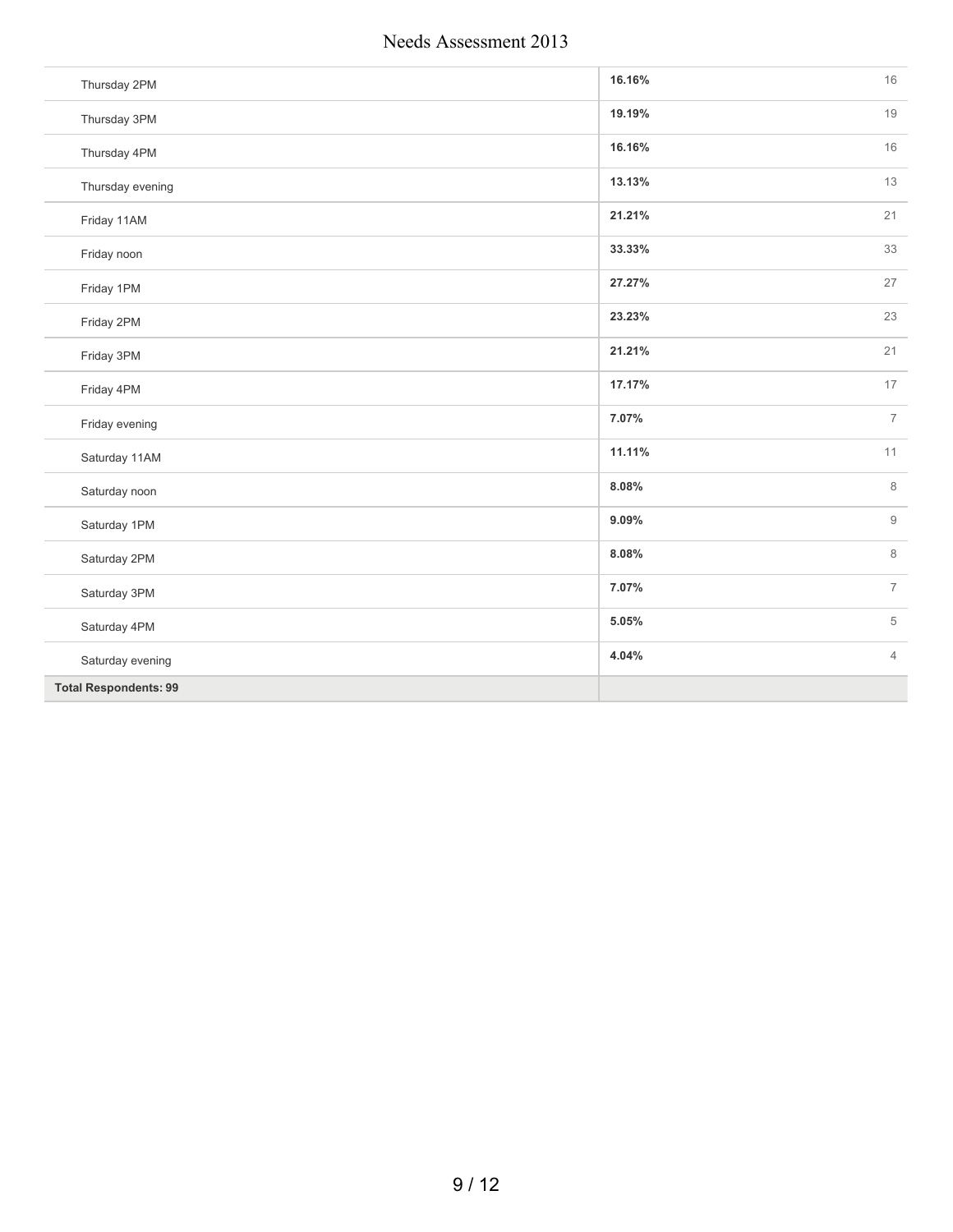| Thursday 2PM                 | 16.16% | 16             |
|------------------------------|--------|----------------|
| Thursday 3PM                 | 19.19% | 19             |
| Thursday 4PM                 | 16.16% | 16             |
| Thursday evening             | 13.13% | 13             |
| Friday 11AM                  | 21.21% | 21             |
| Friday noon                  | 33.33% | 33             |
| Friday 1PM                   | 27.27% | 27             |
| Friday 2PM                   | 23.23% | 23             |
| Friday 3PM                   | 21.21% | 21             |
| Friday 4PM                   | 17.17% | 17             |
| Friday evening               | 7.07%  | $\overline{7}$ |
| Saturday 11AM                | 11.11% | 11             |
| Saturday noon                | 8.08%  | 8              |
| Saturday 1PM                 | 9.09%  | $\mathsf 9$    |
| Saturday 2PM                 | 8.08%  | 8              |
| Saturday 3PM                 | 7.07%  | $\overline{7}$ |
| Saturday 4PM                 | 5.05%  | 5              |
| Saturday evening             | 4.04%  | $\overline{4}$ |
| <b>Total Respondents: 99</b> |        |                |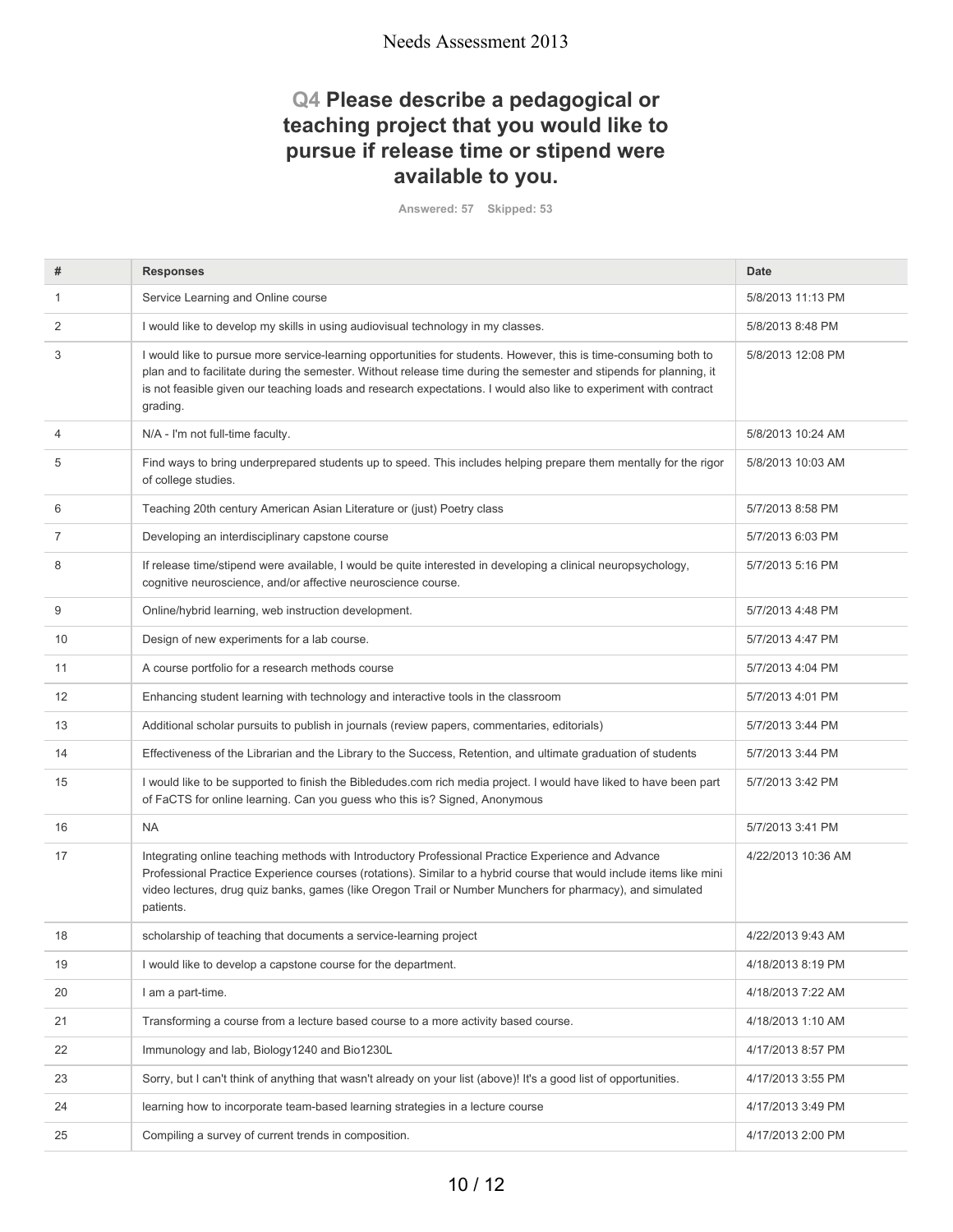# **Q4 Please describe a pedagogical or teaching project that you would like to pursue if release time or stipend were available to you.**

**Answered: 57 Skipped: 53**

| #              | <b>Responses</b>                                                                                                                                                                                                                                                                                                                                                        | Date               |
|----------------|-------------------------------------------------------------------------------------------------------------------------------------------------------------------------------------------------------------------------------------------------------------------------------------------------------------------------------------------------------------------------|--------------------|
| 1              | Service Learning and Online course                                                                                                                                                                                                                                                                                                                                      | 5/8/2013 11:13 PM  |
| 2              | I would like to develop my skills in using audiovisual technology in my classes.                                                                                                                                                                                                                                                                                        | 5/8/2013 8:48 PM   |
| 3              | I would like to pursue more service-learning opportunities for students. However, this is time-consuming both to<br>plan and to facilitate during the semester. Without release time during the semester and stipends for planning, it<br>is not feasible given our teaching loads and research expectations. I would also like to experiment with contract<br>grading. | 5/8/2013 12:08 PM  |
| $\overline{4}$ | N/A - I'm not full-time faculty.                                                                                                                                                                                                                                                                                                                                        | 5/8/2013 10:24 AM  |
| 5              | Find ways to bring underprepared students up to speed. This includes helping prepare them mentally for the rigor<br>of college studies.                                                                                                                                                                                                                                 | 5/8/2013 10:03 AM  |
| 6              | Teaching 20th century American Asian Literature or (just) Poetry class                                                                                                                                                                                                                                                                                                  | 5/7/2013 8:58 PM   |
| 7              | Developing an interdisciplinary capstone course                                                                                                                                                                                                                                                                                                                         | 5/7/2013 6:03 PM   |
| 8              | If release time/stipend were available, I would be quite interested in developing a clinical neuropsychology,<br>cognitive neuroscience, and/or affective neuroscience course.                                                                                                                                                                                          | 5/7/2013 5:16 PM   |
| 9              | Online/hybrid learning, web instruction development.                                                                                                                                                                                                                                                                                                                    | 5/7/2013 4:48 PM   |
| 10             | Design of new experiments for a lab course.                                                                                                                                                                                                                                                                                                                             | 5/7/2013 4:47 PM   |
| 11             | A course portfolio for a research methods course                                                                                                                                                                                                                                                                                                                        | 5/7/2013 4:04 PM   |
| 12             | Enhancing student learning with technology and interactive tools in the classroom                                                                                                                                                                                                                                                                                       | 5/7/2013 4:01 PM   |
| 13             | Additional scholar pursuits to publish in journals (review papers, commentaries, editorials)                                                                                                                                                                                                                                                                            | 5/7/2013 3:44 PM   |
| 14             | Effectiveness of the Librarian and the Library to the Success, Retention, and ultimate graduation of students                                                                                                                                                                                                                                                           | 5/7/2013 3:44 PM   |
| 15             | I would like to be supported to finish the Bibledudes.com rich media project. I would have liked to have been part<br>of FaCTS for online learning. Can you guess who this is? Signed, Anonymous                                                                                                                                                                        | 5/7/2013 3:42 PM   |
| 16             | <b>NA</b>                                                                                                                                                                                                                                                                                                                                                               | 5/7/2013 3:41 PM   |
| 17             | Integrating online teaching methods with Introductory Professional Practice Experience and Advance<br>Professional Practice Experience courses (rotations). Similar to a hybrid course that would include items like mini<br>video lectures, drug quiz banks, games (like Oregon Trail or Number Munchers for pharmacy), and simulated<br>patients.                     | 4/22/2013 10:36 AM |
| 18             | scholarship of teaching that documents a service-learning project                                                                                                                                                                                                                                                                                                       | 4/22/2013 9:43 AM  |
| 19             | I would like to develop a capstone course for the department.                                                                                                                                                                                                                                                                                                           | 4/18/2013 8:19 PM  |
| 20             | I am a part-time.                                                                                                                                                                                                                                                                                                                                                       | 4/18/2013 7:22 AM  |
| 21             | Transforming a course from a lecture based course to a more activity based course.                                                                                                                                                                                                                                                                                      | 4/18/2013 1:10 AM  |
| 22             | Immunology and lab, Biology1240 and Bio1230L                                                                                                                                                                                                                                                                                                                            | 4/17/2013 8:57 PM  |
| 23             | Sorry, but I can't think of anything that wasn't already on your list (above)! It's a good list of opportunities.                                                                                                                                                                                                                                                       | 4/17/2013 3:55 PM  |
| 24             | learning how to incorporate team-based learning strategies in a lecture course                                                                                                                                                                                                                                                                                          | 4/17/2013 3:49 PM  |
| 25             | Compiling a survey of current trends in composition.                                                                                                                                                                                                                                                                                                                    | 4/17/2013 2:00 PM  |
|                |                                                                                                                                                                                                                                                                                                                                                                         |                    |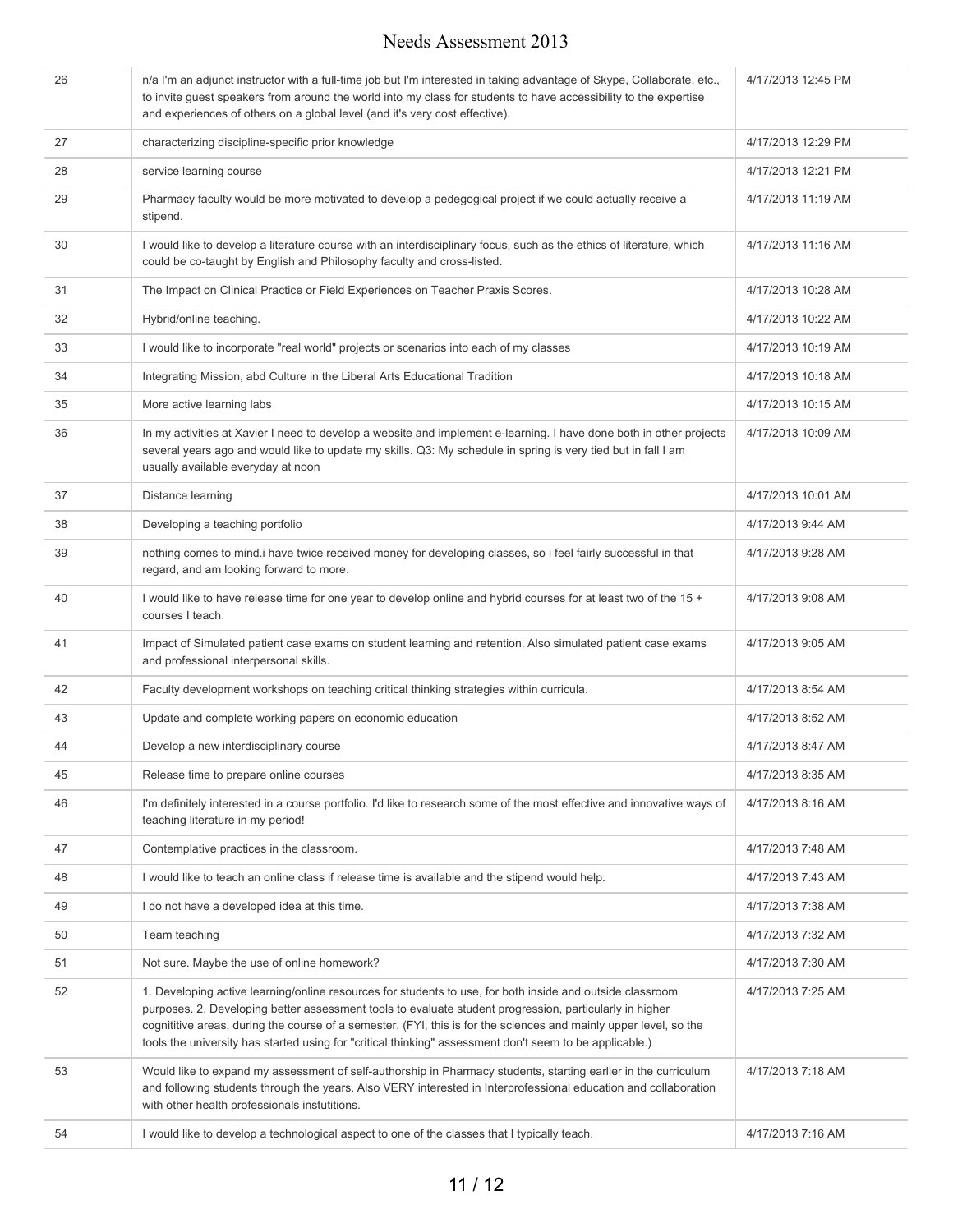| 26 | n/a I'm an adjunct instructor with a full-time job but I'm interested in taking advantage of Skype, Collaborate, etc.,<br>to invite guest speakers from around the world into my class for students to have accessibility to the expertise<br>and experiences of others on a global level (and it's very cost effective).                                                                                                                            | 4/17/2013 12:45 PM |
|----|------------------------------------------------------------------------------------------------------------------------------------------------------------------------------------------------------------------------------------------------------------------------------------------------------------------------------------------------------------------------------------------------------------------------------------------------------|--------------------|
| 27 | characterizing discipline-specific prior knowledge                                                                                                                                                                                                                                                                                                                                                                                                   | 4/17/2013 12:29 PM |
| 28 | service learning course                                                                                                                                                                                                                                                                                                                                                                                                                              | 4/17/2013 12:21 PM |
| 29 | Pharmacy faculty would be more motivated to develop a pedegogical project if we could actually receive a<br>stipend.                                                                                                                                                                                                                                                                                                                                 | 4/17/2013 11:19 AM |
| 30 | I would like to develop a literature course with an interdisciplinary focus, such as the ethics of literature, which<br>could be co-taught by English and Philosophy faculty and cross-listed.                                                                                                                                                                                                                                                       | 4/17/2013 11:16 AM |
| 31 | The Impact on Clinical Practice or Field Experiences on Teacher Praxis Scores.                                                                                                                                                                                                                                                                                                                                                                       | 4/17/2013 10:28 AM |
| 32 | Hybrid/online teaching.                                                                                                                                                                                                                                                                                                                                                                                                                              | 4/17/2013 10:22 AM |
| 33 | I would like to incorporate "real world" projects or scenarios into each of my classes                                                                                                                                                                                                                                                                                                                                                               | 4/17/2013 10:19 AM |
| 34 | Integrating Mission, abd Culture in the Liberal Arts Educational Tradition                                                                                                                                                                                                                                                                                                                                                                           | 4/17/2013 10:18 AM |
| 35 | More active learning labs                                                                                                                                                                                                                                                                                                                                                                                                                            | 4/17/2013 10:15 AM |
| 36 | In my activities at Xavier I need to develop a website and implement e-learning. I have done both in other projects<br>several years ago and would like to update my skills. Q3: My schedule in spring is very tied but in fall I am<br>usually available everyday at noon                                                                                                                                                                           | 4/17/2013 10:09 AM |
| 37 | Distance learning                                                                                                                                                                                                                                                                                                                                                                                                                                    | 4/17/2013 10:01 AM |
| 38 | Developing a teaching portfolio                                                                                                                                                                                                                                                                                                                                                                                                                      | 4/17/2013 9:44 AM  |
| 39 | nothing comes to mind.i have twice received money for developing classes, so i feel fairly successful in that<br>regard, and am looking forward to more.                                                                                                                                                                                                                                                                                             | 4/17/2013 9:28 AM  |
| 40 | I would like to have release time for one year to develop online and hybrid courses for at least two of the 15 +<br>courses I teach.                                                                                                                                                                                                                                                                                                                 | 4/17/2013 9:08 AM  |
| 41 | Impact of Simulated patient case exams on student learning and retention. Also simulated patient case exams<br>and professional interpersonal skills.                                                                                                                                                                                                                                                                                                | 4/17/2013 9:05 AM  |
| 42 | Faculty development workshops on teaching critical thinking strategies within curricula.                                                                                                                                                                                                                                                                                                                                                             | 4/17/2013 8:54 AM  |
| 43 | Update and complete working papers on economic education                                                                                                                                                                                                                                                                                                                                                                                             | 4/17/2013 8:52 AM  |
| 44 | Develop a new interdisciplinary course                                                                                                                                                                                                                                                                                                                                                                                                               | 4/17/2013 8:47 AM  |
| 45 | Release time to prepare online courses                                                                                                                                                                                                                                                                                                                                                                                                               | 4/17/2013 8:35 AM  |
| 46 | I'm definitely interested in a course portfolio. I'd like to research some of the most effective and innovative ways of<br>teaching literature in my period!                                                                                                                                                                                                                                                                                         | 4/17/2013 8:16 AM  |
| 47 | Contemplative practices in the classroom.                                                                                                                                                                                                                                                                                                                                                                                                            | 4/17/2013 7:48 AM  |
| 48 | I would like to teach an online class if release time is available and the stipend would help.                                                                                                                                                                                                                                                                                                                                                       | 4/17/2013 7:43 AM  |
| 49 | I do not have a developed idea at this time.                                                                                                                                                                                                                                                                                                                                                                                                         | 4/17/2013 7:38 AM  |
| 50 | Team teaching                                                                                                                                                                                                                                                                                                                                                                                                                                        | 4/17/2013 7:32 AM  |
| 51 | Not sure. Maybe the use of online homework?                                                                                                                                                                                                                                                                                                                                                                                                          | 4/17/2013 7:30 AM  |
| 52 | 1. Developing active learning/online resources for students to use, for both inside and outside classroom<br>purposes. 2. Developing better assessment tools to evaluate student progression, particularly in higher<br>cognititive areas, during the course of a semester. (FYI, this is for the sciences and mainly upper level, so the<br>tools the university has started using for "critical thinking" assessment don't seem to be applicable.) | 4/17/2013 7:25 AM  |
| 53 | Would like to expand my assessment of self-authorship in Pharmacy students, starting earlier in the curriculum<br>and following students through the years. Also VERY interested in Interprofessional education and collaboration<br>with other health professionals instutitions.                                                                                                                                                                   | 4/17/2013 7:18 AM  |
| 54 | I would like to develop a technological aspect to one of the classes that I typically teach.                                                                                                                                                                                                                                                                                                                                                         | 4/17/2013 7:16 AM  |
|    |                                                                                                                                                                                                                                                                                                                                                                                                                                                      |                    |